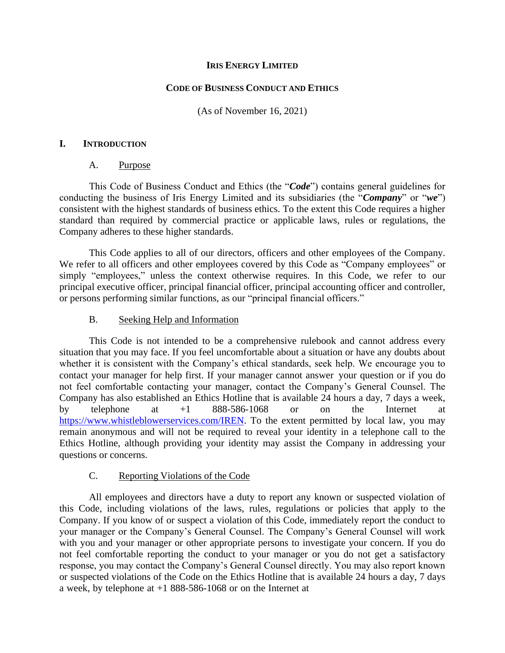## **IRIS ENERGY LIMITED**

# **CODE OF BUSINESS CONDUCT AND ETHICS**

(As of November 16, 2021)

### **I. INTRODUCTION**

### A. Purpose

This Code of Business Conduct and Ethics (the "*Code*") contains general guidelines for conducting the business of Iris Energy Limited and its subsidiaries (the "*Company*" or "*we*") consistent with the highest standards of business ethics. To the extent this Code requires a higher standard than required by commercial practice or applicable laws, rules or regulations, the Company adheres to these higher standards.

This Code applies to all of our directors, officers and other employees of the Company. We refer to all officers and other employees covered by this Code as "Company employees" or simply "employees," unless the context otherwise requires. In this Code, we refer to our principal executive officer, principal financial officer, principal accounting officer and controller, or persons performing similar functions, as our "principal financial officers."

### B. Seeking Help and Information

This Code is not intended to be a comprehensive rulebook and cannot address every situation that you may face. If you feel uncomfortable about a situation or have any doubts about whether it is consistent with the Company's ethical standards, seek help. We encourage you to contact your manager for help first. If your manager cannot answer your question or if you do not feel comfortable contacting your manager, contact the Company's General Counsel. The Company has also established an Ethics Hotline that is available 24 hours a day, 7 days a week, by telephone at +1 888-586-1068 or on the Internet at [https://www.whistleblowerservices.com/IREN.](https://www.whistleblowerservices.com/IREN) To the extent permitted by local law, you may remain anonymous and will not be required to reveal your identity in a telephone call to the Ethics Hotline, although providing your identity may assist the Company in addressing your questions or concerns.

# C. Reporting Violations of the Code

All employees and directors have a duty to report any known or suspected violation of this Code, including violations of the laws, rules, regulations or policies that apply to the Company. If you know of or suspect a violation of this Code, immediately report the conduct to your manager or the Company's General Counsel. The Company's General Counsel will work with you and your manager or other appropriate persons to investigate your concern. If you do not feel comfortable reporting the conduct to your manager or you do not get a satisfactory response, you may contact the Company's General Counsel directly. You may also report known or suspected violations of the Code on the Ethics Hotline that is available 24 hours a day, 7 days a week, by telephone at +1 888-586-1068 or on the Internet at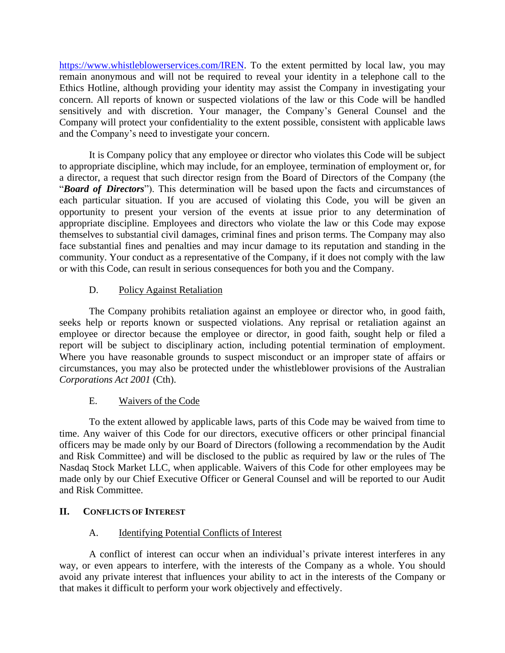[https://www.whistleblowerservices.com/IREN.](https://www.whistleblowerservices.com/IREN) To the extent permitted by local law, you may remain anonymous and will not be required to reveal your identity in a telephone call to the Ethics Hotline, although providing your identity may assist the Company in investigating your concern. All reports of known or suspected violations of the law or this Code will be handled sensitively and with discretion. Your manager, the Company's General Counsel and the Company will protect your confidentiality to the extent possible, consistent with applicable laws and the Company's need to investigate your concern.

It is Company policy that any employee or director who violates this Code will be subject to appropriate discipline, which may include, for an employee, termination of employment or, for a director, a request that such director resign from the Board of Directors of the Company (the "*Board of Directors*"). This determination will be based upon the facts and circumstances of each particular situation. If you are accused of violating this Code, you will be given an opportunity to present your version of the events at issue prior to any determination of appropriate discipline. Employees and directors who violate the law or this Code may expose themselves to substantial civil damages, criminal fines and prison terms. The Company may also face substantial fines and penalties and may incur damage to its reputation and standing in the community. Your conduct as a representative of the Company, if it does not comply with the law or with this Code, can result in serious consequences for both you and the Company.

# D. Policy Against Retaliation

The Company prohibits retaliation against an employee or director who, in good faith, seeks help or reports known or suspected violations. Any reprisal or retaliation against an employee or director because the employee or director, in good faith, sought help or filed a report will be subject to disciplinary action, including potential termination of employment. Where you have reasonable grounds to suspect misconduct or an improper state of affairs or circumstances, you may also be protected under the whistleblower provisions of the Australian *Corporations Act 2001* (Cth).

# E. Waivers of the Code

To the extent allowed by applicable laws, parts of this Code may be waived from time to time. Any waiver of this Code for our directors, executive officers or other principal financial officers may be made only by our Board of Directors (following a recommendation by the Audit and Risk Committee) and will be disclosed to the public as required by law or the rules of The Nasdaq Stock Market LLC, when applicable. Waivers of this Code for other employees may be made only by our Chief Executive Officer or General Counsel and will be reported to our Audit and Risk Committee.

# **II. CONFLICTS OF INTEREST**

# A. Identifying Potential Conflicts of Interest

A conflict of interest can occur when an individual's private interest interferes in any way, or even appears to interfere, with the interests of the Company as a whole. You should avoid any private interest that influences your ability to act in the interests of the Company or that makes it difficult to perform your work objectively and effectively.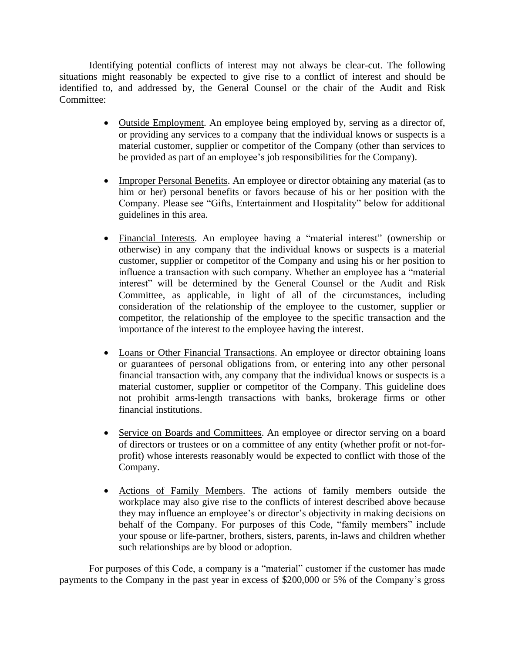Identifying potential conflicts of interest may not always be clear-cut. The following situations might reasonably be expected to give rise to a conflict of interest and should be identified to, and addressed by, the General Counsel or the chair of the Audit and Risk Committee:

- Outside Employment. An employee being employed by, serving as a director of, or providing any services to a company that the individual knows or suspects is a material customer, supplier or competitor of the Company (other than services to be provided as part of an employee's job responsibilities for the Company).
- Improper Personal Benefits. An employee or director obtaining any material (as to him or her) personal benefits or favors because of his or her position with the Company. Please see "Gifts, Entertainment and Hospitality" below for additional guidelines in this area.
- Financial Interests. An employee having a "material interest" (ownership or otherwise) in any company that the individual knows or suspects is a material customer, supplier or competitor of the Company and using his or her position to influence a transaction with such company. Whether an employee has a "material interest" will be determined by the General Counsel or the Audit and Risk Committee, as applicable, in light of all of the circumstances, including consideration of the relationship of the employee to the customer, supplier or competitor, the relationship of the employee to the specific transaction and the importance of the interest to the employee having the interest.
- Loans or Other Financial Transactions. An employee or director obtaining loans or guarantees of personal obligations from, or entering into any other personal financial transaction with, any company that the individual knows or suspects is a material customer, supplier or competitor of the Company. This guideline does not prohibit arms-length transactions with banks, brokerage firms or other financial institutions.
- Service on Boards and Committees. An employee or director serving on a board of directors or trustees or on a committee of any entity (whether profit or not-forprofit) whose interests reasonably would be expected to conflict with those of the Company.
- Actions of Family Members. The actions of family members outside the workplace may also give rise to the conflicts of interest described above because they may influence an employee's or director's objectivity in making decisions on behalf of the Company. For purposes of this Code, "family members" include your spouse or life-partner, brothers, sisters, parents, in-laws and children whether such relationships are by blood or adoption.

For purposes of this Code, a company is a "material" customer if the customer has made payments to the Company in the past year in excess of \$200,000 or 5% of the Company's gross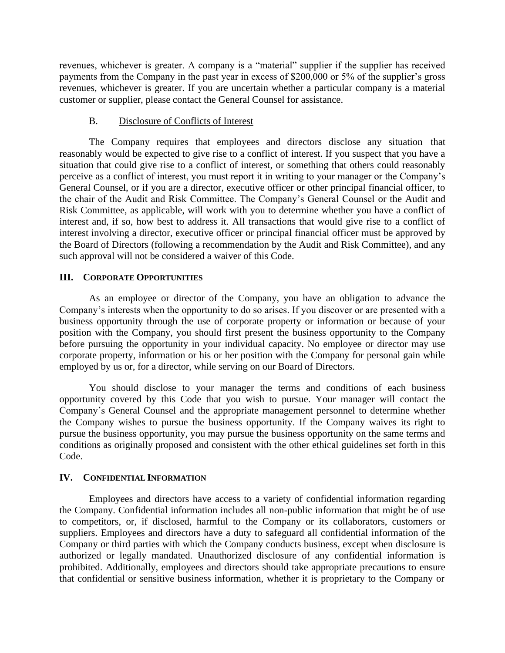revenues, whichever is greater. A company is a "material" supplier if the supplier has received payments from the Company in the past year in excess of \$200,000 or 5% of the supplier's gross revenues, whichever is greater. If you are uncertain whether a particular company is a material customer or supplier, please contact the General Counsel for assistance.

# B. Disclosure of Conflicts of Interest

The Company requires that employees and directors disclose any situation that reasonably would be expected to give rise to a conflict of interest. If you suspect that you have a situation that could give rise to a conflict of interest, or something that others could reasonably perceive as a conflict of interest, you must report it in writing to your manager or the Company's General Counsel, or if you are a director, executive officer or other principal financial officer, to the chair of the Audit and Risk Committee. The Company's General Counsel or the Audit and Risk Committee, as applicable, will work with you to determine whether you have a conflict of interest and, if so, how best to address it. All transactions that would give rise to a conflict of interest involving a director, executive officer or principal financial officer must be approved by the Board of Directors (following a recommendation by the Audit and Risk Committee), and any such approval will not be considered a waiver of this Code.

# **III. CORPORATE OPPORTUNITIES**

As an employee or director of the Company, you have an obligation to advance the Company's interests when the opportunity to do so arises. If you discover or are presented with a business opportunity through the use of corporate property or information or because of your position with the Company, you should first present the business opportunity to the Company before pursuing the opportunity in your individual capacity. No employee or director may use corporate property, information or his or her position with the Company for personal gain while employed by us or, for a director, while serving on our Board of Directors.

You should disclose to your manager the terms and conditions of each business opportunity covered by this Code that you wish to pursue. Your manager will contact the Company's General Counsel and the appropriate management personnel to determine whether the Company wishes to pursue the business opportunity. If the Company waives its right to pursue the business opportunity, you may pursue the business opportunity on the same terms and conditions as originally proposed and consistent with the other ethical guidelines set forth in this Code.

# **IV. CONFIDENTIAL INFORMATION**

Employees and directors have access to a variety of confidential information regarding the Company. Confidential information includes all non-public information that might be of use to competitors, or, if disclosed, harmful to the Company or its collaborators, customers or suppliers. Employees and directors have a duty to safeguard all confidential information of the Company or third parties with which the Company conducts business, except when disclosure is authorized or legally mandated. Unauthorized disclosure of any confidential information is prohibited. Additionally, employees and directors should take appropriate precautions to ensure that confidential or sensitive business information, whether it is proprietary to the Company or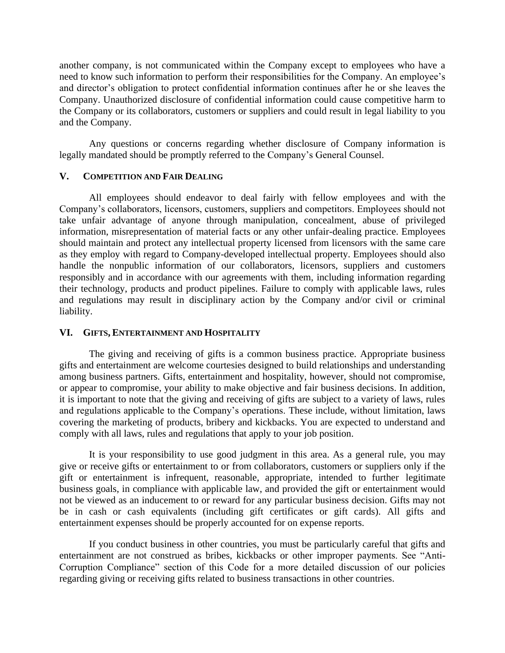another company, is not communicated within the Company except to employees who have a need to know such information to perform their responsibilities for the Company. An employee's and director's obligation to protect confidential information continues after he or she leaves the Company. Unauthorized disclosure of confidential information could cause competitive harm to the Company or its collaborators, customers or suppliers and could result in legal liability to you and the Company.

Any questions or concerns regarding whether disclosure of Company information is legally mandated should be promptly referred to the Company's General Counsel.

### **V. COMPETITION AND FAIR DEALING**

All employees should endeavor to deal fairly with fellow employees and with the Company's collaborators, licensors, customers, suppliers and competitors. Employees should not take unfair advantage of anyone through manipulation, concealment, abuse of privileged information, misrepresentation of material facts or any other unfair-dealing practice. Employees should maintain and protect any intellectual property licensed from licensors with the same care as they employ with regard to Company-developed intellectual property. Employees should also handle the nonpublic information of our collaborators, licensors, suppliers and customers responsibly and in accordance with our agreements with them, including information regarding their technology, products and product pipelines. Failure to comply with applicable laws, rules and regulations may result in disciplinary action by the Company and/or civil or criminal liability.

# **VI. GIFTS, ENTERTAINMENT AND HOSPITALITY**

The giving and receiving of gifts is a common business practice. Appropriate business gifts and entertainment are welcome courtesies designed to build relationships and understanding among business partners. Gifts, entertainment and hospitality, however, should not compromise, or appear to compromise, your ability to make objective and fair business decisions. In addition, it is important to note that the giving and receiving of gifts are subject to a variety of laws, rules and regulations applicable to the Company's operations. These include, without limitation, laws covering the marketing of products, bribery and kickbacks. You are expected to understand and comply with all laws, rules and regulations that apply to your job position.

It is your responsibility to use good judgment in this area. As a general rule, you may give or receive gifts or entertainment to or from collaborators, customers or suppliers only if the gift or entertainment is infrequent, reasonable, appropriate, intended to further legitimate business goals, in compliance with applicable law, and provided the gift or entertainment would not be viewed as an inducement to or reward for any particular business decision. Gifts may not be in cash or cash equivalents (including gift certificates or gift cards). All gifts and entertainment expenses should be properly accounted for on expense reports.

If you conduct business in other countries, you must be particularly careful that gifts and entertainment are not construed as bribes, kickbacks or other improper payments. See "Anti-Corruption Compliance" section of this Code for a more detailed discussion of our policies regarding giving or receiving gifts related to business transactions in other countries.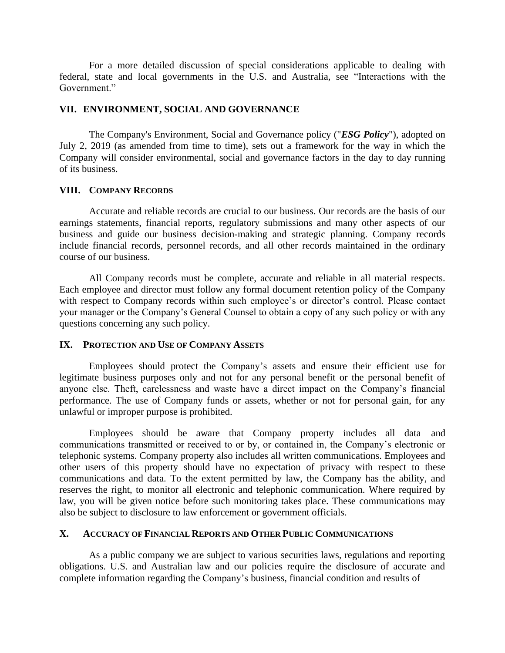For a more detailed discussion of special considerations applicable to dealing with federal, state and local governments in the U.S. and Australia, see "Interactions with the Government."

# **VII. ENVIRONMENT, SOCIAL AND GOVERNANCE**

The Company's Environment, Social and Governance policy ("*ESG Policy*"), adopted on July 2, 2019 (as amended from time to time), sets out a framework for the way in which the Company will consider environmental, social and governance factors in the day to day running of its business.

### **VIII. COMPANY RECORDS**

Accurate and reliable records are crucial to our business. Our records are the basis of our earnings statements, financial reports, regulatory submissions and many other aspects of our business and guide our business decision-making and strategic planning. Company records include financial records, personnel records, and all other records maintained in the ordinary course of our business.

All Company records must be complete, accurate and reliable in all material respects. Each employee and director must follow any formal document retention policy of the Company with respect to Company records within such employee's or director's control. Please contact your manager or the Company's General Counsel to obtain a copy of any such policy or with any questions concerning any such policy.

### **IX. PROTECTION AND USE OF COMPANY ASSETS**

Employees should protect the Company's assets and ensure their efficient use for legitimate business purposes only and not for any personal benefit or the personal benefit of anyone else. Theft, carelessness and waste have a direct impact on the Company's financial performance. The use of Company funds or assets, whether or not for personal gain, for any unlawful or improper purpose is prohibited.

Employees should be aware that Company property includes all data and communications transmitted or received to or by, or contained in, the Company's electronic or telephonic systems. Company property also includes all written communications. Employees and other users of this property should have no expectation of privacy with respect to these communications and data. To the extent permitted by law, the Company has the ability, and reserves the right, to monitor all electronic and telephonic communication. Where required by law, you will be given notice before such monitoring takes place. These communications may also be subject to disclosure to law enforcement or government officials.

#### **X. ACCURACY OF FINANCIAL REPORTS AND OTHER PUBLIC COMMUNICATIONS**

As a public company we are subject to various securities laws, regulations and reporting obligations. U.S. and Australian law and our policies require the disclosure of accurate and complete information regarding the Company's business, financial condition and results of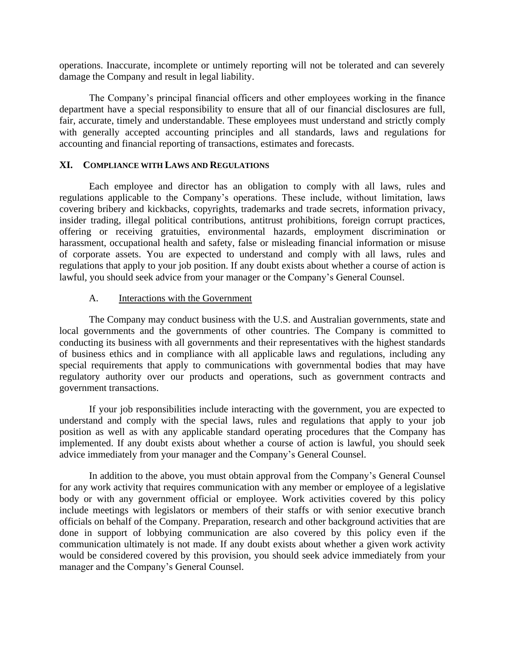operations. Inaccurate, incomplete or untimely reporting will not be tolerated and can severely damage the Company and result in legal liability.

The Company's principal financial officers and other employees working in the finance department have a special responsibility to ensure that all of our financial disclosures are full, fair, accurate, timely and understandable. These employees must understand and strictly comply with generally accepted accounting principles and all standards, laws and regulations for accounting and financial reporting of transactions, estimates and forecasts.

### **XI. COMPLIANCE WITH LAWS AND REGULATIONS**

Each employee and director has an obligation to comply with all laws, rules and regulations applicable to the Company's operations. These include, without limitation, laws covering bribery and kickbacks, copyrights, trademarks and trade secrets, information privacy, insider trading, illegal political contributions, antitrust prohibitions, foreign corrupt practices, offering or receiving gratuities, environmental hazards, employment discrimination or harassment, occupational health and safety, false or misleading financial information or misuse of corporate assets. You are expected to understand and comply with all laws, rules and regulations that apply to your job position. If any doubt exists about whether a course of action is lawful, you should seek advice from your manager or the Company's General Counsel.

# A. Interactions with the Government

The Company may conduct business with the U.S. and Australian governments, state and local governments and the governments of other countries. The Company is committed to conducting its business with all governments and their representatives with the highest standards of business ethics and in compliance with all applicable laws and regulations, including any special requirements that apply to communications with governmental bodies that may have regulatory authority over our products and operations, such as government contracts and government transactions.

If your job responsibilities include interacting with the government, you are expected to understand and comply with the special laws, rules and regulations that apply to your job position as well as with any applicable standard operating procedures that the Company has implemented. If any doubt exists about whether a course of action is lawful, you should seek advice immediately from your manager and the Company's General Counsel.

In addition to the above, you must obtain approval from the Company's General Counsel for any work activity that requires communication with any member or employee of a legislative body or with any government official or employee. Work activities covered by this policy include meetings with legislators or members of their staffs or with senior executive branch officials on behalf of the Company. Preparation, research and other background activities that are done in support of lobbying communication are also covered by this policy even if the communication ultimately is not made. If any doubt exists about whether a given work activity would be considered covered by this provision, you should seek advice immediately from your manager and the Company's General Counsel.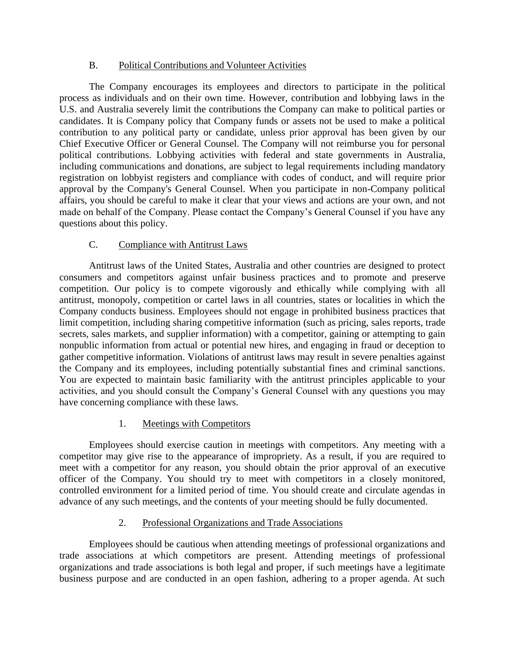# B. Political Contributions and Volunteer Activities

The Company encourages its employees and directors to participate in the political process as individuals and on their own time. However, contribution and lobbying laws in the U.S. and Australia severely limit the contributions the Company can make to political parties or candidates. It is Company policy that Company funds or assets not be used to make a political contribution to any political party or candidate, unless prior approval has been given by our Chief Executive Officer or General Counsel. The Company will not reimburse you for personal political contributions. Lobbying activities with federal and state governments in Australia, including communications and donations, are subject to legal requirements including mandatory registration on lobbyist registers and compliance with codes of conduct, and will require prior approval by the Company's General Counsel. When you participate in non-Company political affairs, you should be careful to make it clear that your views and actions are your own, and not made on behalf of the Company. Please contact the Company's General Counsel if you have any questions about this policy.

# C. Compliance with Antitrust Laws

Antitrust laws of the United States, Australia and other countries are designed to protect consumers and competitors against unfair business practices and to promote and preserve competition. Our policy is to compete vigorously and ethically while complying with all antitrust, monopoly, competition or cartel laws in all countries, states or localities in which the Company conducts business. Employees should not engage in prohibited business practices that limit competition, including sharing competitive information (such as pricing, sales reports, trade secrets, sales markets, and supplier information) with a competitor, gaining or attempting to gain nonpublic information from actual or potential new hires, and engaging in fraud or deception to gather competitive information. Violations of antitrust laws may result in severe penalties against the Company and its employees, including potentially substantial fines and criminal sanctions. You are expected to maintain basic familiarity with the antitrust principles applicable to your activities, and you should consult the Company's General Counsel with any questions you may have concerning compliance with these laws.

# 1. Meetings with Competitors

Employees should exercise caution in meetings with competitors. Any meeting with a competitor may give rise to the appearance of impropriety. As a result, if you are required to meet with a competitor for any reason, you should obtain the prior approval of an executive officer of the Company. You should try to meet with competitors in a closely monitored, controlled environment for a limited period of time. You should create and circulate agendas in advance of any such meetings, and the contents of your meeting should be fully documented.

# 2. Professional Organizations and Trade Associations

Employees should be cautious when attending meetings of professional organizations and trade associations at which competitors are present. Attending meetings of professional organizations and trade associations is both legal and proper, if such meetings have a legitimate business purpose and are conducted in an open fashion, adhering to a proper agenda. At such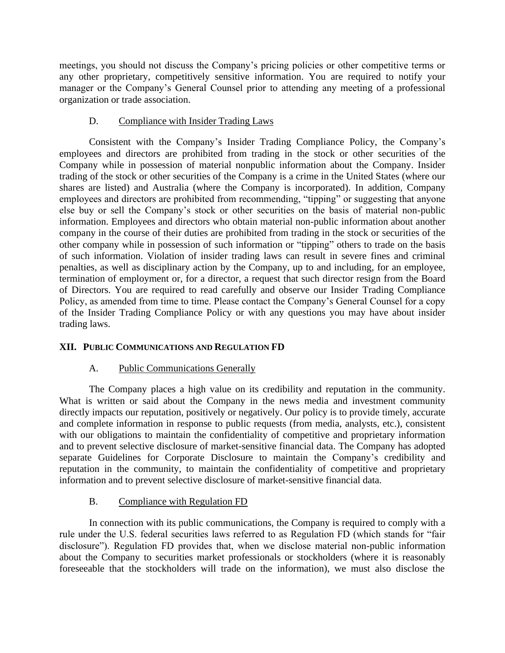meetings, you should not discuss the Company's pricing policies or other competitive terms or any other proprietary, competitively sensitive information. You are required to notify your manager or the Company's General Counsel prior to attending any meeting of a professional organization or trade association.

# D. Compliance with Insider Trading Laws

Consistent with the Company's Insider Trading Compliance Policy, the Company's employees and directors are prohibited from trading in the stock or other securities of the Company while in possession of material nonpublic information about the Company. Insider trading of the stock or other securities of the Company is a crime in the United States (where our shares are listed) and Australia (where the Company is incorporated). In addition, Company employees and directors are prohibited from recommending, "tipping" or suggesting that anyone else buy or sell the Company's stock or other securities on the basis of material non-public information. Employees and directors who obtain material non-public information about another company in the course of their duties are prohibited from trading in the stock or securities of the other company while in possession of such information or "tipping" others to trade on the basis of such information. Violation of insider trading laws can result in severe fines and criminal penalties, as well as disciplinary action by the Company, up to and including, for an employee, termination of employment or, for a director, a request that such director resign from the Board of Directors. You are required to read carefully and observe our Insider Trading Compliance Policy, as amended from time to time. Please contact the Company's General Counsel for a copy of the Insider Trading Compliance Policy or with any questions you may have about insider trading laws.

# **XII. PUBLIC COMMUNICATIONS AND REGULATION FD**

# A. Public Communications Generally

The Company places a high value on its credibility and reputation in the community. What is written or said about the Company in the news media and investment community directly impacts our reputation, positively or negatively. Our policy is to provide timely, accurate and complete information in response to public requests (from media, analysts, etc.), consistent with our obligations to maintain the confidentiality of competitive and proprietary information and to prevent selective disclosure of market-sensitive financial data. The Company has adopted separate Guidelines for Corporate Disclosure to maintain the Company's credibility and reputation in the community, to maintain the confidentiality of competitive and proprietary information and to prevent selective disclosure of market-sensitive financial data.

# B. Compliance with Regulation FD

In connection with its public communications, the Company is required to comply with a rule under the U.S. federal securities laws referred to as Regulation FD (which stands for "fair disclosure"). Regulation FD provides that, when we disclose material non-public information about the Company to securities market professionals or stockholders (where it is reasonably foreseeable that the stockholders will trade on the information), we must also disclose the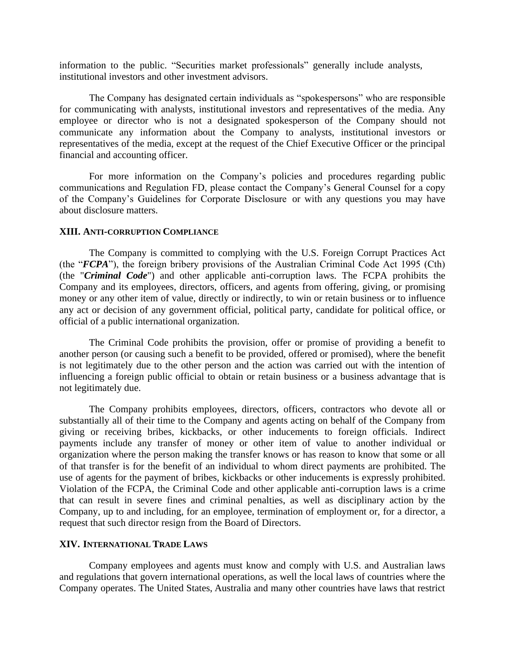information to the public. "Securities market professionals" generally include analysts, institutional investors and other investment advisors.

The Company has designated certain individuals as "spokespersons" who are responsible for communicating with analysts, institutional investors and representatives of the media. Any employee or director who is not a designated spokesperson of the Company should not communicate any information about the Company to analysts, institutional investors or representatives of the media, except at the request of the Chief Executive Officer or the principal financial and accounting officer.

For more information on the Company's policies and procedures regarding public communications and Regulation FD, please contact the Company's General Counsel for a copy of the Company's Guidelines for Corporate Disclosure or with any questions you may have about disclosure matters.

#### **XIII. ANTI-CORRUPTION COMPLIANCE**

The Company is committed to complying with the U.S. Foreign Corrupt Practices Act (the "*FCPA*"), the foreign bribery provisions of the Australian Criminal Code Act 1995 (Cth) (the "*Criminal Code*") and other applicable anti-corruption laws. The FCPA prohibits the Company and its employees, directors, officers, and agents from offering, giving, or promising money or any other item of value, directly or indirectly, to win or retain business or to influence any act or decision of any government official, political party, candidate for political office, or official of a public international organization.

The Criminal Code prohibits the provision, offer or promise of providing a benefit to another person (or causing such a benefit to be provided, offered or promised), where the benefit is not legitimately due to the other person and the action was carried out with the intention of influencing a foreign public official to obtain or retain business or a business advantage that is not legitimately due.

The Company prohibits employees, directors, officers, contractors who devote all or substantially all of their time to the Company and agents acting on behalf of the Company from giving or receiving bribes, kickbacks, or other inducements to foreign officials. Indirect payments include any transfer of money or other item of value to another individual or organization where the person making the transfer knows or has reason to know that some or all of that transfer is for the benefit of an individual to whom direct payments are prohibited. The use of agents for the payment of bribes, kickbacks or other inducements is expressly prohibited. Violation of the FCPA, the Criminal Code and other applicable anti-corruption laws is a crime that can result in severe fines and criminal penalties, as well as disciplinary action by the Company, up to and including, for an employee, termination of employment or, for a director, a request that such director resign from the Board of Directors.

#### **XIV. INTERNATIONAL TRADE LAWS**

Company employees and agents must know and comply with U.S. and Australian laws and regulations that govern international operations, as well the local laws of countries where the Company operates. The United States, Australia and many other countries have laws that restrict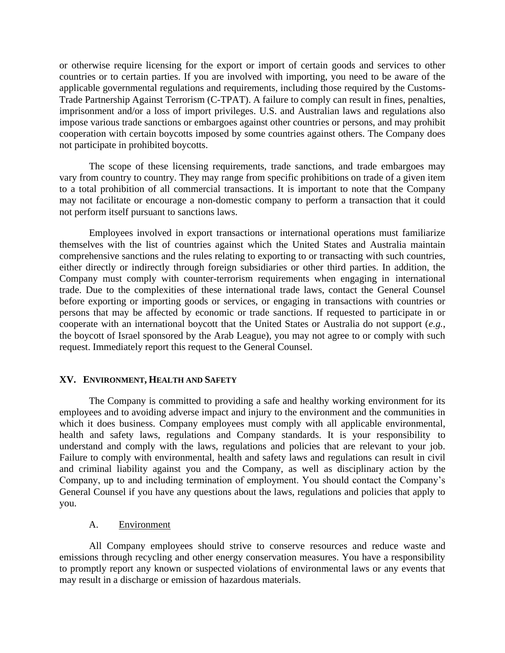or otherwise require licensing for the export or import of certain goods and services to other countries or to certain parties. If you are involved with importing, you need to be aware of the applicable governmental regulations and requirements, including those required by the Customs-Trade Partnership Against Terrorism (C-TPAT). A failure to comply can result in fines, penalties, imprisonment and/or a loss of import privileges. U.S. and Australian laws and regulations also impose various trade sanctions or embargoes against other countries or persons, and may prohibit cooperation with certain boycotts imposed by some countries against others. The Company does not participate in prohibited boycotts.

The scope of these licensing requirements, trade sanctions, and trade embargoes may vary from country to country. They may range from specific prohibitions on trade of a given item to a total prohibition of all commercial transactions. It is important to note that the Company may not facilitate or encourage a non-domestic company to perform a transaction that it could not perform itself pursuant to sanctions laws.

Employees involved in export transactions or international operations must familiarize themselves with the list of countries against which the United States and Australia maintain comprehensive sanctions and the rules relating to exporting to or transacting with such countries, either directly or indirectly through foreign subsidiaries or other third parties. In addition, the Company must comply with counter-terrorism requirements when engaging in international trade. Due to the complexities of these international trade laws, contact the General Counsel before exporting or importing goods or services, or engaging in transactions with countries or persons that may be affected by economic or trade sanctions. If requested to participate in or cooperate with an international boycott that the United States or Australia do not support (*e.g.*, the boycott of Israel sponsored by the Arab League), you may not agree to or comply with such request. Immediately report this request to the General Counsel.

# **XV. ENVIRONMENT, HEALTH AND SAFETY**

The Company is committed to providing a safe and healthy working environment for its employees and to avoiding adverse impact and injury to the environment and the communities in which it does business. Company employees must comply with all applicable environmental, health and safety laws, regulations and Company standards. It is your responsibility to understand and comply with the laws, regulations and policies that are relevant to your job. Failure to comply with environmental, health and safety laws and regulations can result in civil and criminal liability against you and the Company, as well as disciplinary action by the Company, up to and including termination of employment. You should contact the Company's General Counsel if you have any questions about the laws, regulations and policies that apply to you.

# A. Environment

All Company employees should strive to conserve resources and reduce waste and emissions through recycling and other energy conservation measures. You have a responsibility to promptly report any known or suspected violations of environmental laws or any events that may result in a discharge or emission of hazardous materials.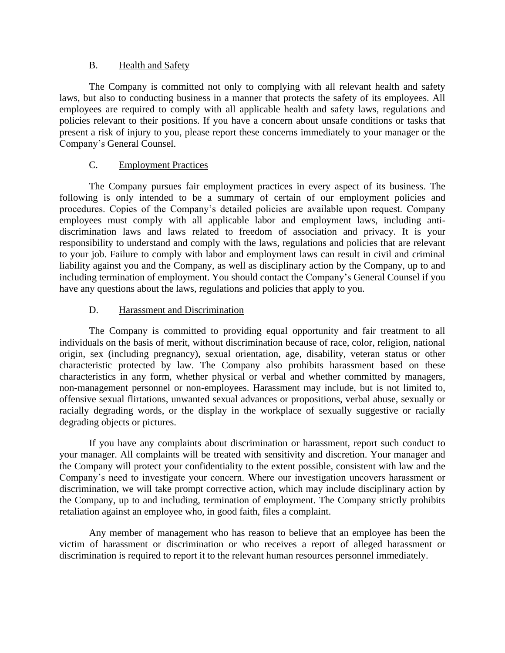# B. Health and Safety

The Company is committed not only to complying with all relevant health and safety laws, but also to conducting business in a manner that protects the safety of its employees. All employees are required to comply with all applicable health and safety laws, regulations and policies relevant to their positions. If you have a concern about unsafe conditions or tasks that present a risk of injury to you, please report these concerns immediately to your manager or the Company's General Counsel.

# C. Employment Practices

The Company pursues fair employment practices in every aspect of its business. The following is only intended to be a summary of certain of our employment policies and procedures. Copies of the Company's detailed policies are available upon request. Company employees must comply with all applicable labor and employment laws, including antidiscrimination laws and laws related to freedom of association and privacy. It is your responsibility to understand and comply with the laws, regulations and policies that are relevant to your job. Failure to comply with labor and employment laws can result in civil and criminal liability against you and the Company, as well as disciplinary action by the Company, up to and including termination of employment. You should contact the Company's General Counsel if you have any questions about the laws, regulations and policies that apply to you.

# D. Harassment and Discrimination

The Company is committed to providing equal opportunity and fair treatment to all individuals on the basis of merit, without discrimination because of race, color, religion, national origin, sex (including pregnancy), sexual orientation, age, disability, veteran status or other characteristic protected by law. The Company also prohibits harassment based on these characteristics in any form, whether physical or verbal and whether committed by managers, non-management personnel or non-employees. Harassment may include, but is not limited to, offensive sexual flirtations, unwanted sexual advances or propositions, verbal abuse, sexually or racially degrading words, or the display in the workplace of sexually suggestive or racially degrading objects or pictures.

If you have any complaints about discrimination or harassment, report such conduct to your manager. All complaints will be treated with sensitivity and discretion. Your manager and the Company will protect your confidentiality to the extent possible, consistent with law and the Company's need to investigate your concern. Where our investigation uncovers harassment or discrimination, we will take prompt corrective action, which may include disciplinary action by the Company, up to and including, termination of employment. The Company strictly prohibits retaliation against an employee who, in good faith, files a complaint.

Any member of management who has reason to believe that an employee has been the victim of harassment or discrimination or who receives a report of alleged harassment or discrimination is required to report it to the relevant human resources personnel immediately.